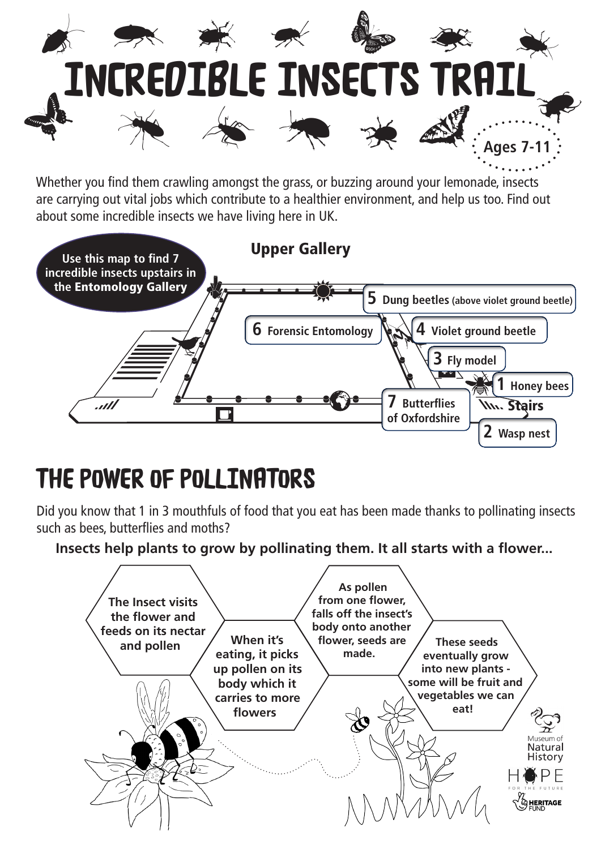

Whether you find them crawling amongst the grass, or buzzing around your lemonade, insects are carrying out vital jobs which contribute to a healthier environment, and help us too. Find out about some incredible insects we have living here in UK.



## THE POWER OF POLLINATORS

Did you know that 1 in 3 mouthfuls of food that you eat has been made thanks to pollinating insects such as bees, butterflies and moths?

**Insects help plants to grow by pollinating them. It all starts with a flower...**

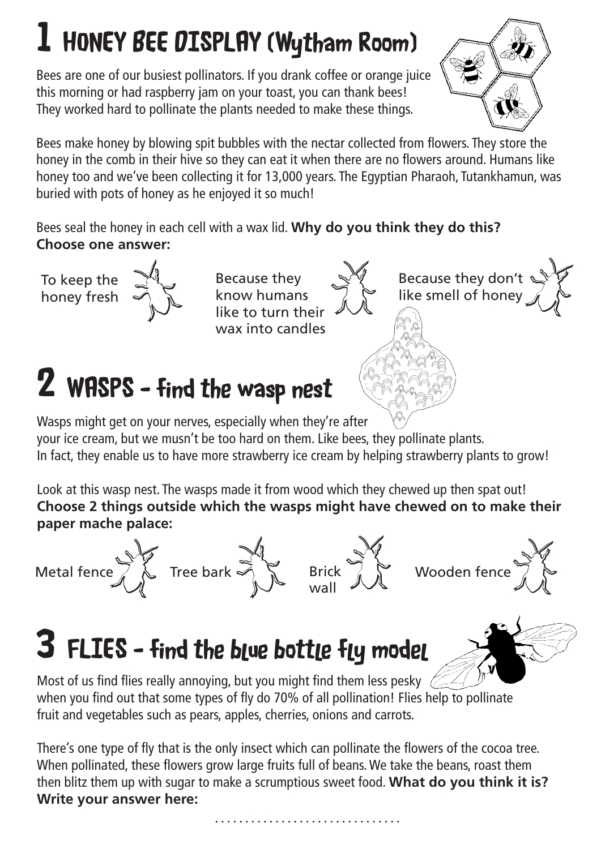# 1 HONEY BEE DISPLAY (Wytham Room)

Bees are one of our busiest pollinators. If you drank coffee or orange juice this morning or had raspberry jam on your toast, you can thank bees! They worked hard to pollinate the plants needed to make these things.



Because they don't like smell of honey

n't

Bees make honey by blowing spit bubbles with the nectar collected from flowers. They store the honey in the comb in their hive so they can eat it when there are no flowers around. Humans like honey too and we've been collecting it for 13,000 years. The Egyptian Pharaoh, Tutankhamun, was buried with pots of honey as he enjoyed it so much!

Bees seal the honey in each cell with a wax lid. **Why do you think they do this? Choose one answer:**

To keep the honey fresh



Because they know humans like to turn their wax into candles  $\frac{1}{2}$  Because they<br>
know humans<br>
like to turn their

## 2 WASPS - find the wasp nest

Wasps might get on your nerves, especially when they're after your ice cream, but we musn't be too hard on them. Like bees, they pollinate plants. In fact, they enable us to have more strawberry ice cream by helping strawberry plants to grow!

Look at this wasp nest. The wasps made it from wood which they chewed up then spat out! **Choose 2 things outside which the wasps might have chewed on to make their paper mache palace:**











## 3 FLIES - find the blue bottle fly model

Most of us find flies really annoying, but you might find them less pesky when you find out that some types of fly do 70% of all pollination! Flies help to pollinate fruit and vegetables such as pears, apples, cherries, onions and carrots.

There's one type of fly that is the only insect which can pollinate the flowers of the cocoa tree. When pollinated, these flowers grow large fruits full of beans. We take the beans, roast them then blitz them up with sugar to make a scrumptious sweet food. **What do you think it is? Write your answer here:**

. . . . . . . . . . . . . . . . . . .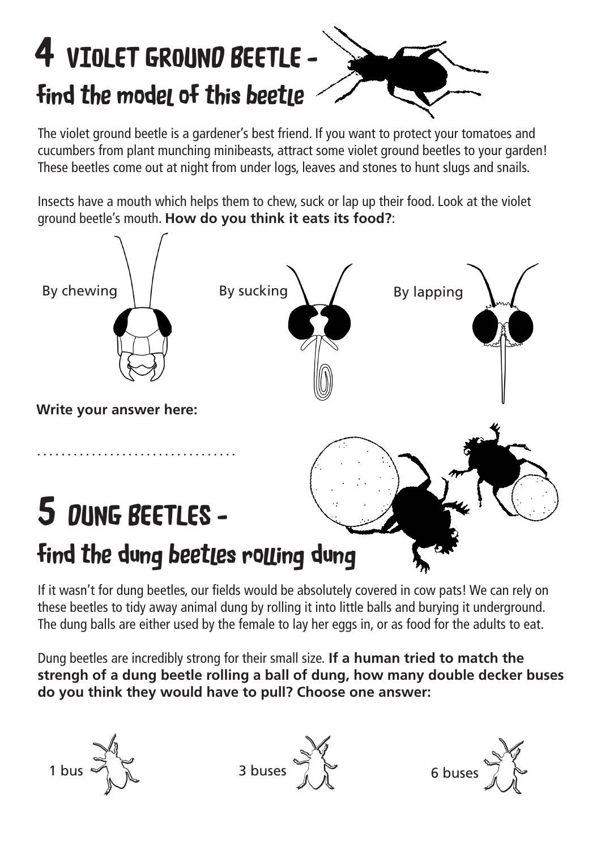# 4 VIOLET GROUND BEETLE find the model of this beetle

The violet ground beetle is a gardener's best friend. If you want to protect your tomatoes and cucumbers from plant munching minibeasts, attract some violet ground beetles to your garden! These beetles come out at night from under logs, leaves and stones to hunt slugs and snails.

Insects have a mouth which helps them to chew, suck or lap up their food. Look at the violet ground beetle's mouth. **How do you think it eats its food?**:



If it wasn't for dung beetles, our fields would be absolutely covered in cow pats! We can rely on these beetles to tidy away animal dung by rolling it into little balls and burying it underground. The dung balls are either used by the female to lay her eggs in, or as food for the adults to eat.

Dung beetles are incredibly strong for their small size. **If a human tried to match the strengh of a dung beetle rolling a ball of dung, how many double decker buses do you think they would have to pull? Choose one answer:**

 $1 \text{ bus}$   $3 \text{ buses}$   $3 \text{ buses}$   $6 \text{ buses}$  $\frac{1}{\sqrt{2}}$  3 buses  $\frac{1}{\sqrt{2}}$ s Ste